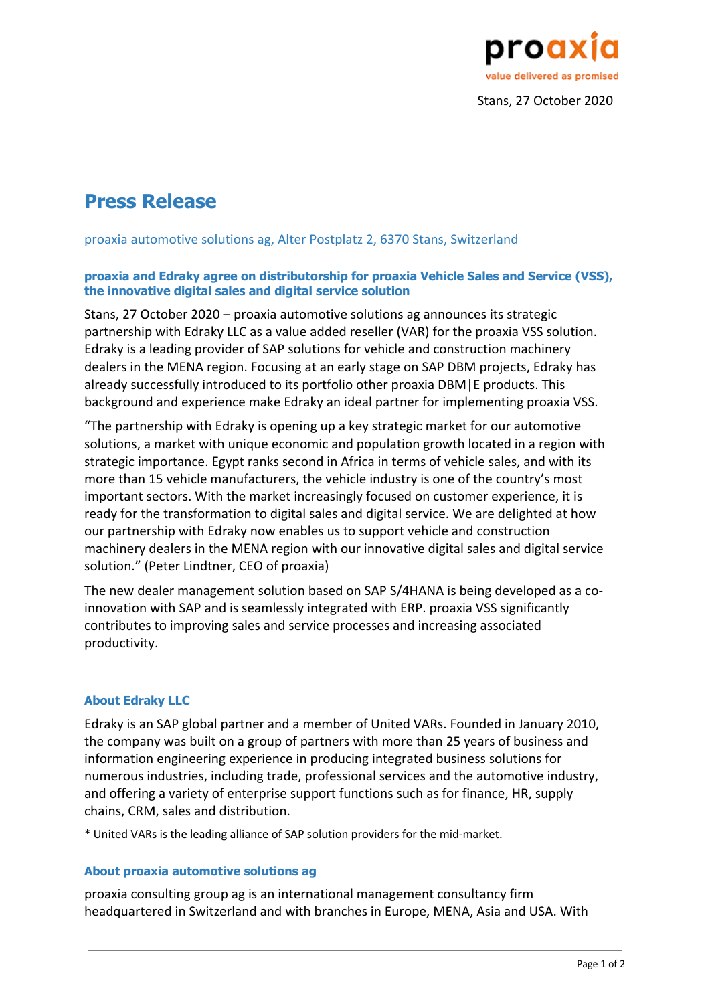

# **Press Release**

# proaxia automotive solutions ag, Alter Postplatz 2, 6370 Stans, Switzerland

# **proaxia and Edraky agree on distributorship for proaxia Vehicle Sales and Service (VSS), the innovative digital sales and digital service solution**

Stans, 27 October 2020 – proaxia automotive solutions ag announces its strategic partnership with Edraky LLC as a value added reseller (VAR) for the proaxia VSS solution. Edraky is a leading provider of SAP solutions for vehicle and construction machinery dealers in the MENA region. Focusing at an early stage on SAP DBM projects, Edraky has already successfully introduced to its portfolio other proaxia DBM|E products. This background and experience make Edraky an ideal partner for implementing proaxia VSS.

"The partnership with Edraky is opening up a key strategic market for our automotive solutions, a market with unique economic and population growth located in a region with strategic importance. Egypt ranks second in Africa in terms of vehicle sales, and with its more than 15 vehicle manufacturers, the vehicle industry is one of the country's most important sectors. With the market increasingly focused on customer experience, it is ready for the transformation to digital sales and digital service. We are delighted at how our partnership with Edraky now enables us to support vehicle and construction machinery dealers in the MENA region with our innovative digital sales and digital service solution." (Peter Lindtner, CEO of proaxia)

The new dealer management solution based on SAP S/4HANA is being developed as a coinnovation with SAP and is seamlessly integrated with ERP. proaxia VSS significantly contributes to improving sales and service processes and increasing associated productivity.

### **About Edraky LLC**

Edraky is an SAP global partner and a member of United VARs. Founded in January 2010, the company was built on a group of partners with more than 25 years of business and information engineering experience in producing integrated business solutions for numerous industries, including trade, professional services and the automotive industry, and offering a variety of enterprise support functions such as for finance, HR, supply chains, CRM, sales and distribution.

\* United VARs is the leading alliance of SAP solution providers for the mid-market.

### **About proaxia automotive solutions ag**

proaxia consulting group ag is an international management consultancy firm headquartered in Switzerland and with branches in Europe, MENA, Asia and USA. With